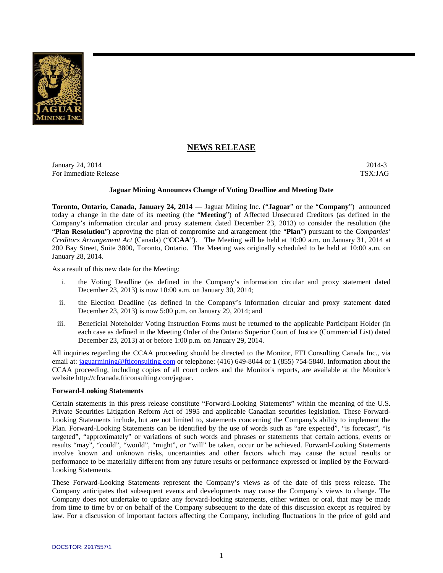

# **NEWS RELEASE**

**January 24, 2014** 2014-3 For Immediate Release TSX:JAG

## **Jaguar Mining Announces Change of Voting Deadline and Meeting Date**

**Toronto, Ontario, Canada, January 24, 2014** — Jaguar Mining Inc. ("**Jaguar**" or the "**Company**") announced today a change in the date of its meeting (the "**Meeting**") of Affected Unsecured Creditors (as defined in the Company's information circular and proxy statement dated December 23, 2013) to consider the resolution (the "**Plan Resolution**") approving the plan of compromise and arrangement (the "**Plan**") pursuant to the *Companies' Creditors Arrangement Act* (Canada) ("**CCAA**"). The Meeting will be held at 10:00 a.m. on January 31, 2014 at 200 Bay Street, Suite 3800, Toronto, Ontario. The Meeting was originally scheduled to be held at 10:00 a.m. on January 28, 2014.

As a result of this new date for the Meeting:

- i. the Voting Deadline (as defined in the Company's information circular and proxy statement dated December 23, 2013) is now 10:00 a.m. on January 30, 2014;
- ii. the Election Deadline (as defined in the Company's information circular and proxy statement dated December 23, 2013) is now 5:00 p.m. on January 29, 2014; and
- iii. Beneficial Noteholder Voting Instruction Forms must be returned to the applicable Participant Holder (in each case as defined in the Meeting Order of the Ontario Superior Court of Justice (Commercial List) dated December 23, 2013) at or before 1:00 p.m. on January 29, 2014.

All inquiries regarding the CCAA proceeding should be directed to the Monitor, FTI Consulting Canada Inc., via email at: jaguarmining@fticonsulting.com or telephone: (416) 649-8044 or 1 (855) 754-5840. Information about the CCAA proceeding, including copies of all court orders and the Monitor's reports, are available at the Monitor's website http://cfcanada.fticonsulting.com/jaguar.

#### **Forward-Looking Statements**

Certain statements in this press release constitute "Forward-Looking Statements" within the meaning of the U.S. Private Securities Litigation Reform Act of 1995 and applicable Canadian securities legislation. These Forward-Looking Statements include, but are not limited to, statements concerning the Company's ability to implement the Plan. Forward-Looking Statements can be identified by the use of words such as "are expected", "is forecast", "is targeted", "approximately" or variations of such words and phrases or statements that certain actions, events or results "may", "could", "would", "might", or "will" be taken, occur or be achieved. Forward-Looking Statements involve known and unknown risks, uncertainties and other factors which may cause the actual results or performance to be materially different from any future results or performance expressed or implied by the Forward-Looking Statements.

These Forward-Looking Statements represent the Company's views as of the date of this press release. The Company anticipates that subsequent events and developments may cause the Company's views to change. The Company does not undertake to update any forward-looking statements, either written or oral, that may be made from time to time by or on behalf of the Company subsequent to the date of this discussion except as required by law. For a discussion of important factors affecting the Company, including fluctuations in the price of gold and